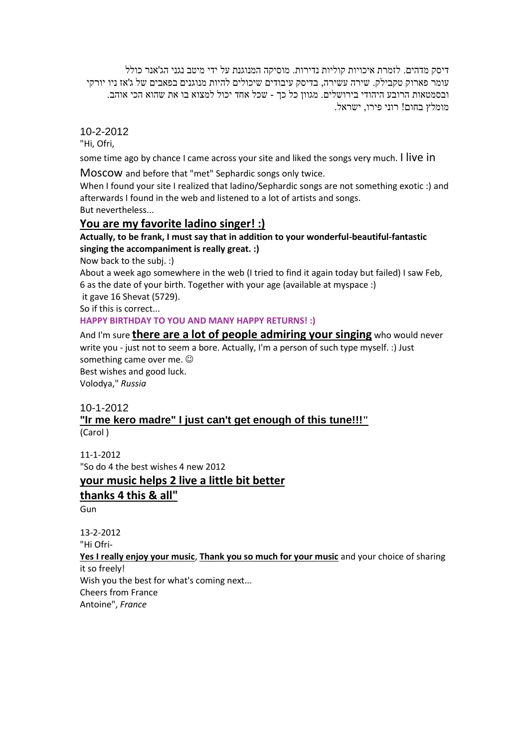דיסק מדהים. לזמרת איכויות קוליות נדירות. מוסיקה המנוגנת על ידי מיטב נגני הג'אנר כולל עומר פארוק טקבילק. שירה עשירה, בדיסק עיבודים שיכולים להיות מנוגנים בפאבים של ג'אז ניו יורקי ובסמטאות הרובע היהודי בירושלים. מגוון כל כך - שכל אחד יכול למצוא בו את שהוא הכי אוהב. מומלץ בחום! רוני פירו, ישראל.

10-2-2012

"Hi, Ofri,

some time ago by chance I came across your site and liked the songs very much. I live in

Moscow and before that "met" Sephardic songs only twice.

When I found your site I realized that ladino/Sephardic songs are not something exotic :) and afterwards I found in the web and listened to a lot of artists and songs. But nevertheless...

### **You are my favorite ladino singer! :)**

### **Actually, to be frank, I must say that in addition to your wonderful-beautiful-fantastic singing the accompaniment is really great. :)**

Now back to the subj. :)

About a week ago somewhere in the web (I tried to find it again today but failed) I saw Feb, 6 as the date of your birth. Together with your age (available at myspace :)

it gave 16 Shevat (5729).

So if this is correct...

#### **HAPPY BIRTHDAY TO YOU AND MANY HAPPY RETURNS! :)**

And I'm sure **there are a lot of people admiring your singing** who would never write you - just not to seem a bore. Actually, I'm a person of such type myself. :) Just something came over me. Best wishes and good luck. Volodya," *Russia*

#### 10-1-2012

### **"Ir me kero madre" I just can't get enough of this tune!!!"** (Carol )

11-1-2012 "So do 4 the best wishes 4 new 2012

### **your music helps 2 live a little bit better**

#### **thanks 4 this & all"**

**Gun** 

13-2-2012 "Hi Ofri-

# **Yes I really enjoy your music**, **Thank you so much for your music** and your choice of sharing

it so freely! Wish you the best for what's coming next...

Cheers from France Antoine", *France*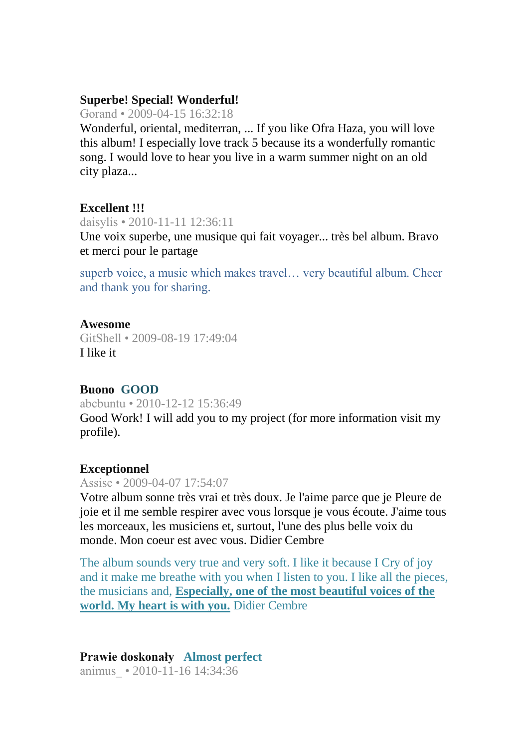## **Superbe! Special! Wonderful!**

Gorand • 2009-04-15 16:32:18

Wonderful, oriental, mediterran, ... If you like Ofra Haza, you will love this album! I especially love track 5 because its a wonderfully romantic song. I would love to hear you live in a warm summer night on an old city plaza...

## **Excellent !!!**

daisylis • 2010-11-11 12:36:11

Une voix superbe, une musique qui fait voyager... très bel album. Bravo et merci pour le partage

superb voice, a music which makes travel… very beautiful album. Cheer and thank you for sharing.

## **Awesome**

GitShell • 2009-08-19 17:49:04 I like it

# **Buono GOOD**

abcbuntu • 2010-12-12 15:36:49 Good Work! I will add you to my project (for more information visit my profile).

# **Exceptionnel**

## Assise • 2009-04-07 17:54:07

Votre album sonne très vrai et très doux. Je l'aime parce que je Pleure de joie et il me semble respirer avec vous lorsque je vous écoute. J'aime tous les morceaux, les musiciens et, surtout, l'une des plus belle voix du monde. Mon coeur est avec vous. Didier Cembre

The album sounds very true and very soft. I like it because I Cry of joy and it make me breathe with you when I listen to you. I like all the pieces, the musicians and, **Especially, one of the most beautiful voices of the world. My heart is with you.** Didier Cembre

## **Prawie doskonały Almost perfect** animus\_ • 2010-11-16 14:34:36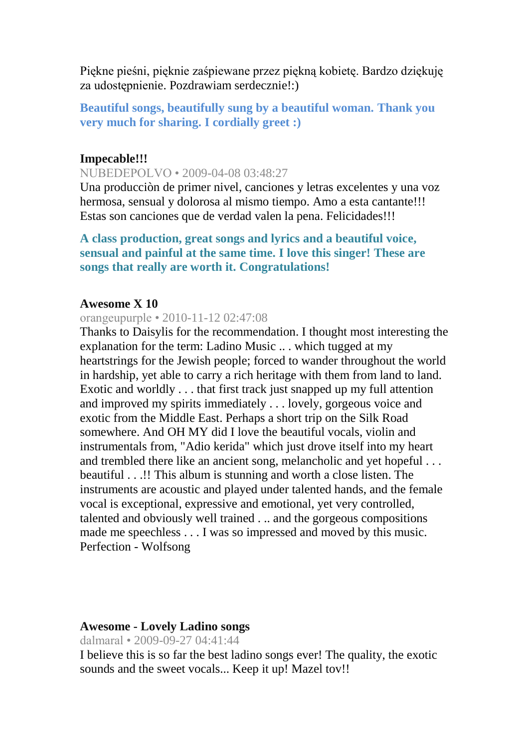Piękne pieśni, pięknie zaśpiewane przez piękną kobietę. Bardzo dziękuję za udostępnienie. Pozdrawiam serdecznie!:)

**Beautiful songs, beautifully sung by a beautiful woman. Thank you very much for sharing. I cordially greet :)** 

### **Impecable!!!**

NUBEDEPOLVO • 2009-04-08 03:48:27

Una producciòn de primer nivel, canciones y letras excelentes y una voz hermosa, sensual y dolorosa al mismo tiempo. Amo a esta cantante!!! Estas son canciones que de verdad valen la pena. Felicidades!!!

## **A class production, great songs and lyrics and a beautiful voice, sensual and painful at the same time. I love this singer! These are songs that really are worth it. Congratulations!**

### **Awesome X 10**

### orangeupurple • 2010-11-12 02:47:08

Thanks to Daisylis for the recommendation. I thought most interesting the explanation for the term: Ladino Music .. . which tugged at my heartstrings for the Jewish people; forced to wander throughout the world in hardship, yet able to carry a rich heritage with them from land to land. Exotic and worldly . . . that first track just snapped up my full attention and improved my spirits immediately . . . lovely, gorgeous voice and exotic from the Middle East. Perhaps a short trip on the Silk Road somewhere. And OH MY did I love the beautiful vocals, violin and instrumentals from, "Adio kerida" which just drove itself into my heart and trembled there like an ancient song, melancholic and yet hopeful . . . beautiful . . .!! This album is stunning and worth a close listen. The instruments are acoustic and played under talented hands, and the female vocal is exceptional, expressive and emotional, yet very controlled, talented and obviously well trained . .. and the gorgeous compositions made me speechless . . . I was so impressed and moved by this music. Perfection - Wolfsong

#### **Awesome - Lovely Ladino songs**

dalmaral • 2009-09-27 04:41:44

I believe this is so far the best ladino songs ever! The quality, the exotic sounds and the sweet vocals... Keep it up! Mazel tov!!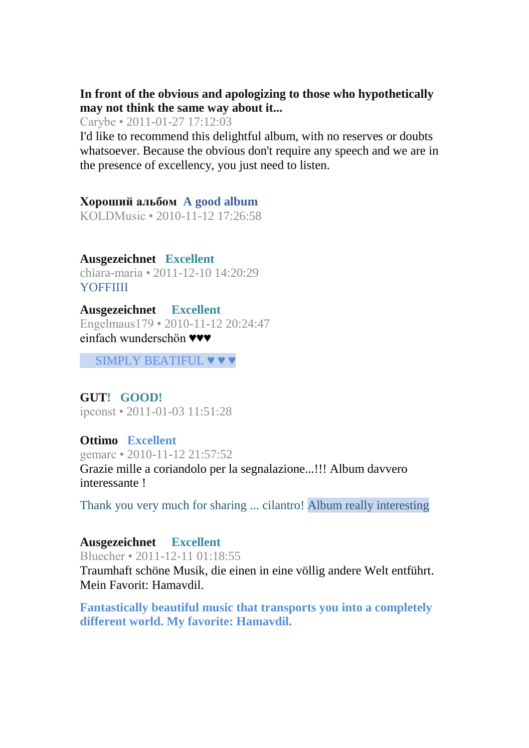# **In front of the obvious and apologizing to those who hypothetically may not think the same way about it...**

Carybe • 2011-01-27 17:12:03

I'd like to recommend this delightful album, with no reserves or doubts whatsoever. Because the obvious don't require any speech and we are in the presence of excellency, you just need to listen.

# **Хороший альбом A good album**

KOLDMusic • 2010-11-12 17:26:58

**Ausgezeichnet Excellent** chiara-maria • 2011-12-10 14:20:29 **YOFFIIII** 

**Ausgezeichnet Excellent** Engelmaus179 • 2010-11-12 20:24:47 einfach wunderschön ♥♥♥

SIMPLY BEATIFUL  $\blacktriangledown \blacktriangledown \blacktriangledown$ 

## **GUT! GOOD!** ipconst • 2011-01-03 11:51:28

# **Ottimo Excellent**

gemarc • 2010-11-12 21:57:52 Grazie mille a coriandolo per la segnalazione...!!! Album davvero interessante !

Thank you very much for sharing ... cilantro! Album really interesting

# **Ausgezeichnet Excellent**

Bluecher • 2011-12-11 01:18:55 Traumhaft schöne Musik, die einen in eine völlig andere Welt entführt. Mein Favorit: Hamavdil.

**Fantastically beautiful music that transports you into a completely different world. My favorite: Hamavdil.**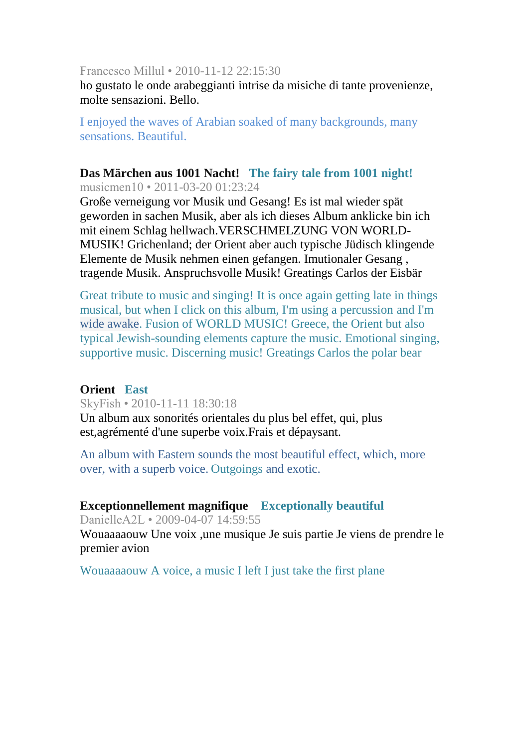Francesco Millul • 2010-11-12 22:15:30

ho gustato le onde arabeggianti intrise da misiche di tante provenienze, molte sensazioni. Bello.

I enjoyed the waves of Arabian soaked of many backgrounds, many sensations. Beautiful.

### **Das Märchen aus 1001 Nacht! The fairy tale from 1001 night!** musicmen10 • 2011-03-20 01:23:24

Große verneigung vor Musik und Gesang! Es ist mal wieder spät geworden in sachen Musik, aber als ich dieses Album anklicke bin ich mit einem Schlag hellwach.VERSCHMELZUNG VON WORLD-MUSIK! Grichenland; der Orient aber auch typische Jüdisch klingende Elemente de Musik nehmen einen gefangen. Imutionaler Gesang , tragende Musik. Anspruchsvolle Musik! Greatings Carlos der Eisbär

Great tribute to music and singing! It is once again getting late in things musical, but when I click on this album, I'm using a percussion and I'm wide awake. Fusion of WORLD MUSIC! Greece, the Orient but also typical Jewish-sounding elements capture the music. Emotional singing, supportive music. Discerning music! Greatings Carlos the polar bear

## **Orient East**

SkyFish • 2010-11-11 18:30:18 Un album aux sonorités orientales du plus bel effet, qui, plus est,agrémenté d'une superbe voix.Frais et dépaysant.

An album with Eastern sounds the most beautiful effect, which, more over, with a superb voice. Outgoings and exotic.

# **Exceptionnellement magnifique Exceptionally beautiful**

DanielleA2L • 2009-04-07 14:59:55

Wouaaaaouw Une voix ,une musique Je suis partie Je viens de prendre le premier avion

Wouaaaaouw A voice, a music I left I just take the first plane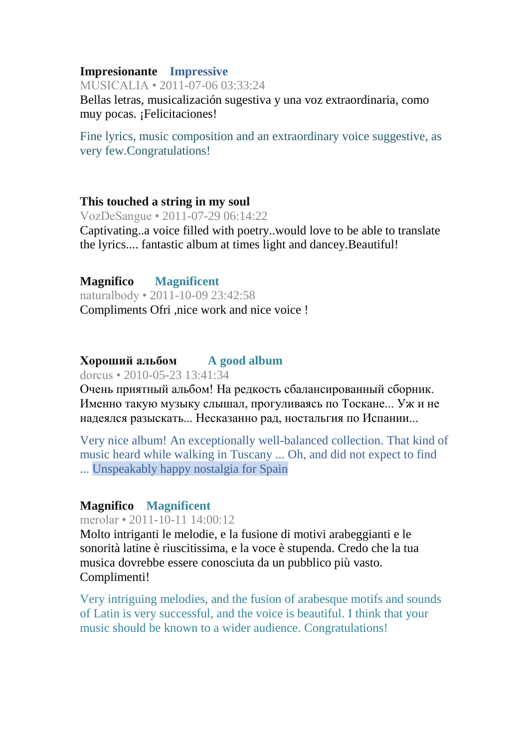## **Impresionante Impressive**

MUSICALIA • 2011-07-06 03:33:24 Bellas letras, musicalización sugestiva y una voz extraordinaria, como muy pocas. ¡Felicitaciones!

Fine lyrics, music composition and an extraordinary voice suggestive, as very few.Congratulations!

## **This touched a string in my soul**

VozDeSangue • 2011-07-29 06:14:22

Captivating..a voice filled with poetry..would love to be able to translate the lyrics.... fantastic album at times light and dancey.Beautiful!

**Magnifico Magnificent** naturalbody • 2011-10-09 23:42:58 Compliments Ofri ,nice work and nice voice !

# **Хороший альбом A good album**

dorcus • 2010-05-23 13:41:34

Очень приятный альбом! На редкость сбалансированный сборник. Именно такую музыку слышал, прогуливаясь по Тоскане... Уж и не надеялся разыскать... Несказанно рад, ностальгия по Испании...

Very nice album! An exceptionally well-balanced collection. That kind of music heard while walking in Tuscany ... Oh, and did not expect to find ... Unspeakably happy nostalgia for Spain

# **Magnifico Magnificent**

merolar • 2011-10-11 14:00:12

Molto intriganti le melodie, e la fusione di motivi arabeggianti e le sonorità latine è riuscitissima, e la voce è stupenda. Credo che la tua musica dovrebbe essere conosciuta da un pubblico più vasto. Complimenti!

Very intriguing melodies, and the fusion of arabesque motifs and sounds of Latin is very successful, and the voice is beautiful. I think that your music should be known to a wider audience. Congratulations!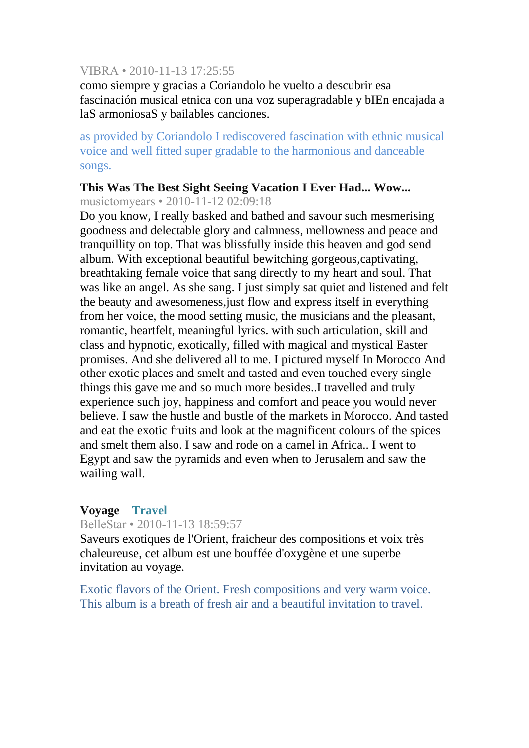## VIBRA • 2010-11-13 17:25:55

como siempre y gracias a Coriandolo he vuelto a descubrir esa fascinación musical etnica con una voz superagradable y bIEn encajada a laS armoniosaS y bailables canciones.

as provided by Coriandolo I rediscovered fascination with ethnic musical voice and well fitted super gradable to the harmonious and danceable songs.

# **This Was The Best Sight Seeing Vacation I Ever Had... Wow...**

musictomyears • 2010-11-12 02:09:18

Do you know, I really basked and bathed and savour such mesmerising goodness and delectable glory and calmness, mellowness and peace and tranquillity on top. That was blissfully inside this heaven and god send album. With exceptional beautiful bewitching gorgeous,captivating, breathtaking female voice that sang directly to my heart and soul. That was like an angel. As she sang. I just simply sat quiet and listened and felt the beauty and awesomeness,just flow and express itself in everything from her voice, the mood setting music, the musicians and the pleasant, romantic, heartfelt, meaningful lyrics. with such articulation, skill and class and hypnotic, exotically, filled with magical and mystical Easter promises. And she delivered all to me. I pictured myself In Morocco And other exotic places and smelt and tasted and even touched every single things this gave me and so much more besides..I travelled and truly experience such joy, happiness and comfort and peace you would never believe. I saw the hustle and bustle of the markets in Morocco. And tasted and eat the exotic fruits and look at the magnificent colours of the spices and smelt them also. I saw and rode on a camel in Africa.. I went to Egypt and saw the pyramids and even when to Jerusalem and saw the wailing wall.

# **Voyage Travel**

# BelleStar • 2010-11-13 18:59:57

Saveurs exotiques de l'Orient, fraicheur des compositions et voix très chaleureuse, cet album est une bouffée d'oxygène et une superbe invitation au voyage.

Exotic flavors of the Orient. Fresh compositions and very warm voice. This album is a breath of fresh air and a beautiful invitation to travel.